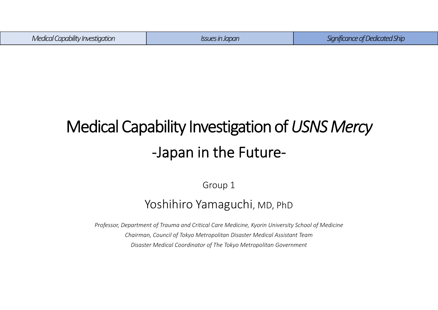| <br><i>Medical</i> (<br>l Capability Investigation | 's In Japan | $\sim$<br>d Shir<br>Jedicateo<br>חחרת |
|----------------------------------------------------|-------------|---------------------------------------|
|                                                    |             |                                       |

# Medical Capability Investigation of *USNS Mercy* ‐Japan in the Future‐

Group 1

### Yoshihiro Yamaguchi, MD, PhD

*Professor, Department of Trauma and Critical Care Medicine, Kyorin University School of Medicine Chairman, Council of Tokyo Metropolitan Disaster Medical Assistant Team Disaster Medical Coordinator of The Tokyo Metropolitan Government*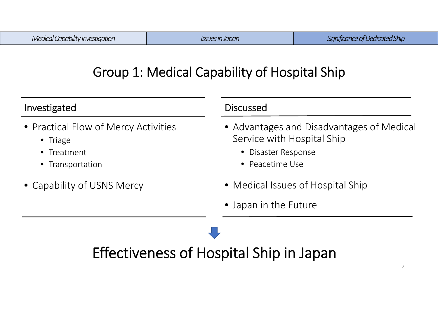### Group 1: Medical Capability of Hospital Ship

| Investigated                                                                                | <b>Discussed</b>                                                                                                  |  |
|---------------------------------------------------------------------------------------------|-------------------------------------------------------------------------------------------------------------------|--|
| • Practical Flow of Mercy Activities<br>$\bullet$ Triage<br>• Treatment<br>• Transportation | • Advantages and Disadvantages of Medical<br>Service with Hospital Ship<br>• Disaster Response<br>• Peacetime Use |  |
| • Capability of USNS Mercy                                                                  | • Medical Issues of Hospital Ship                                                                                 |  |
|                                                                                             | • Japan in the Future                                                                                             |  |

# Effectiveness of Hospital Ship in Japan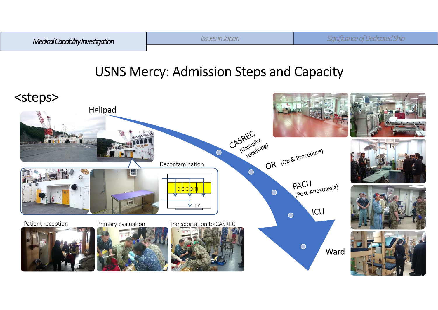

### USNS Mercy: Admission Steps and Capacity

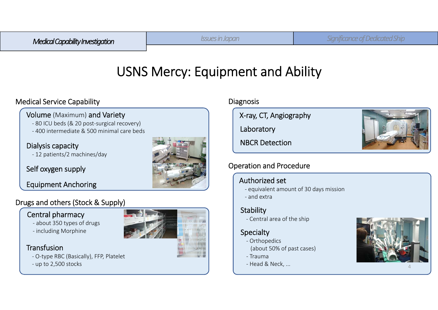*Medical Capability Investigation Issues in Japan Significance of Dedicated Ship*

### USNS Mercy: Equipment and Ability

#### Medical Service Capability

#### Volume (Maximum) and Variety

- ‐ 80 ICU beds (& 20 post‐surgical recovery)
- ‐ 400 intermediate & 500 minimal care beds

#### Dialysis capacity

‐ 12 patients/2 machines/day

#### Self oxygen supply

Equipment Anchoring

#### Drugs and others (Stock & Supply)

#### Central pharmacy

- ‐ about 350 types of drugs
- ‐ including Morphine

#### **Transfusion**

- ‐ O‐type RBC (Basically), FFP, Platelet
- ‐ up to 2,500 stocks



#### **Diagnosis**

X‐ray, CT, Angiography

Laboratory

NBCR Detection

### Operation and Procedure

#### Authorized set

- ‐ equivalent amount of 30 days mission
- ‐ and extra

#### **Stability**

‐ Central area of the ship

#### **Specialty**

- ‐ Orthopedics (about 50% of past cases)
- ‐ Trauma
- ‐ Head & Neck, ...



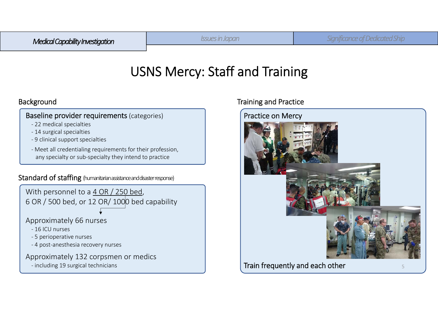### USNS Mercy: Staff and Training

#### Baseline provider requirements (categories)

- ‐ 22 medical specialties
- ‐ 14 surgical specialties
- ‐ 9 clinical support specialties
- ‐ Meet all credentialing requirements for their profession, any specialty or sub‐specialty they intend to practice

#### Standard of staffing (humanitarian assistance and disaster response)



#### Background **Training and Practice**

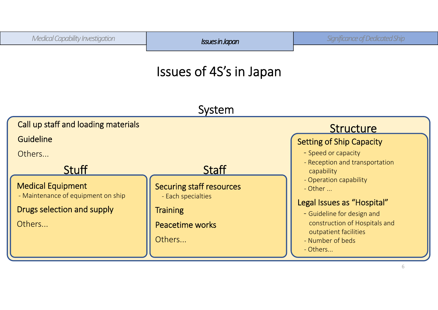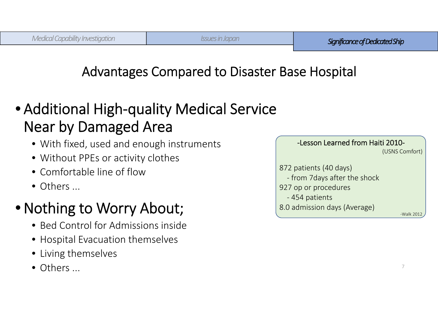### Advantages Compared to Disaster Base Hospital

# • Additional High‐quality Medical Service Near by Damaged Area

- With fixed, used and enough instruments
- Without PPEs or activity clothes
- Comfortable line of flow
- Others ...

# • Nothing to Worry About;

- Bed Control for Admissions inside
- Hospital Evacuation themselves
- Living themselves
- Others ...

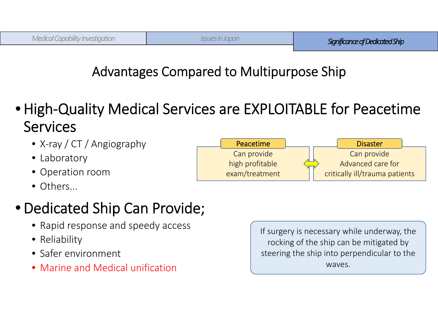## Advantages Compared to Multipurpose Ship

- •High‐Quality Medical Services are EXPLOITABLE for Peacetime **Services** 
	- X‐ray / CT / Angiography
	- Laboratory
	- Operation room
	- Others...

# •Dedicated Ship Can Provide;

- Rapid response and speedy access
- Reliability
- Safer environment
- Marine and Medical unification

If surgery is necessary while underway, the rocking of the ship can be mitigated by steering the ship into perpendicular to the waves.